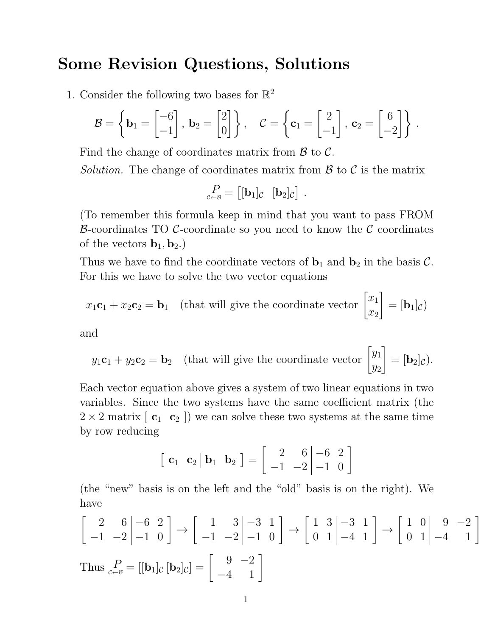## Some Revision Questions, Solutions

1. Consider the following two bases for  $\mathbb{R}^2$ 

$$
\mathcal{B} = \left\{ \mathbf{b}_1 = \begin{bmatrix} -6 \\ -1 \end{bmatrix}, \ \mathbf{b}_2 = \begin{bmatrix} 2 \\ 0 \end{bmatrix} \right\}, \quad \mathcal{C} = \left\{ \mathbf{c}_1 = \begin{bmatrix} 2 \\ -1 \end{bmatrix}, \ \mathbf{c}_2 = \begin{bmatrix} 6 \\ -2 \end{bmatrix} \right\}.
$$

Find the change of coordinates matrix from  $\beta$  to  $\beta$ .

Solution. The change of coordinates matrix from  $\mathcal{B}$  to  $\mathcal{C}$  is the matrix

$$
P_{c\leftarrow B} = [[\mathbf{b}_1]_C \ [\mathbf{b}_2]_C].
$$

(To remember this formula keep in mind that you want to pass FROM B-coordinates TO C-coordinate so you need to know the C coordinates of the vectors  $\mathbf{b}_1, \mathbf{b}_2$ .

Thus we have to find the coordinate vectors of  $\mathbf{b}_1$  and  $\mathbf{b}_2$  in the basis C. For this we have to solve the two vector equations

$$
x_1 \mathbf{c}_1 + x_2 \mathbf{c}_2 = \mathbf{b}_1
$$
 (that will give the coordinate vector  $\begin{bmatrix} x_1 \\ x_2 \end{bmatrix} = [\mathbf{b}_1]_c$ )

and

$$
y_1 \mathbf{c}_1 + y_2 \mathbf{c}_2 = \mathbf{b}_2
$$
 (that will give the coordinate vector  $\begin{bmatrix} y_1 \\ y_2 \end{bmatrix} = [\mathbf{b}_2]_c$ ).

Each vector equation above gives a system of two linear equations in two variables. Since the two systems have the same coefficient matrix (the  $2 \times 2$  matrix  $\begin{bmatrix} c_1 & c_2 \end{bmatrix}$  we can solve these two systems at the same time by row reducing

$$
\begin{bmatrix} \mathbf{c}_1 & \mathbf{c}_2 & \mathbf{b}_1 & \mathbf{b}_2 \end{bmatrix} = \begin{bmatrix} 2 & 6 & -6 & 2 \\ -1 & -2 & -1 & 0 \end{bmatrix}
$$

(the "new" basis is on the left and the "old" basis is on the right). We have

$$
\begin{bmatrix} 2 & 6 & -6 & 2 \ -1 & -2 & -1 & 0 \end{bmatrix} \rightarrow \begin{bmatrix} 1 & 3 & -3 & 1 \ -1 & -2 & -1 & 0 \end{bmatrix} \rightarrow \begin{bmatrix} 1 & 3 & -3 & 1 \ 0 & 1 & -4 & 1 \end{bmatrix} \rightarrow \begin{bmatrix} 1 & 0 & 9 & -2 \ 0 & 1 & -4 & 1 \end{bmatrix}
$$
  
Thus  $_{c \leftarrow B} P = [[b_1]_c [b_2]_c] = \begin{bmatrix} 9 & -2 \ -4 & 1 \end{bmatrix}$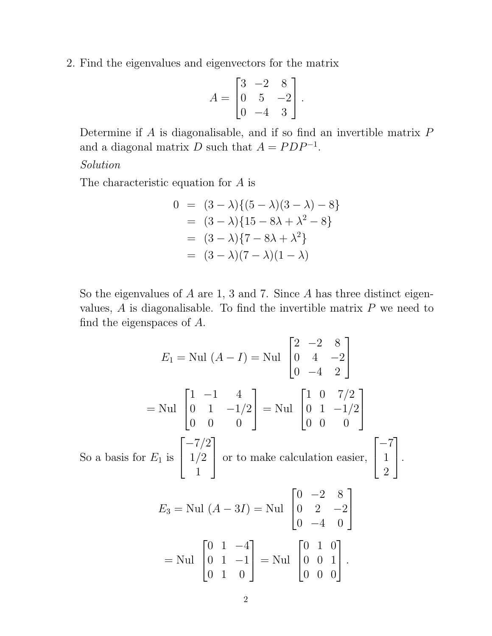2. Find the eigenvalues and eigenvectors for the matrix

$$
A = \begin{bmatrix} 3 & -2 & 8 \\ 0 & 5 & -2 \\ 0 & -4 & 3 \end{bmatrix}.
$$

Determine if  $A$  is diagonalisable, and if so find an invertible matrix  $P$ and a diagonal matrix D such that  $A = PDP^{-1}$ .

## Solution

The characteristic equation for A is

$$
0 = (3 - \lambda)\{(5 - \lambda)(3 - \lambda) - 8\}
$$
  
= (3 - \lambda)\{15 - 8\lambda + \lambda^2 - 8\}  
= (3 - \lambda)\{7 - 8\lambda + \lambda^2\}  
= (3 - \lambda)(7 - \lambda)(1 - \lambda)

So the eigenvalues of  $A$  are 1, 3 and 7. Since  $A$  has three distinct eigenvalues,  $A$  is diagonalisable. To find the invertible matrix  $P$  we need to find the eigenspaces of A.

$$
E_1 = \text{Nul } (A - I) = \text{Nul } \begin{bmatrix} 2 & -2 & 8 \\ 0 & 4 & -2 \\ 0 & -4 & 2 \end{bmatrix}
$$
  
= \text{Nul } \begin{bmatrix} 1 & -1 & 4 \\ 0 & 1 & -1/2 \\ 0 & 0 & 0 \end{bmatrix} = \text{Nul } \begin{bmatrix} 1 & 0 & 7/2 \\ 0 & 1 & -1/2 \\ 0 & 0 & 0 \end{bmatrix}  
\n\text{So a basis for } E\_1 \text{ is } \begin{bmatrix} -7/2 \\ 1/2 \\ 1 \end{bmatrix} \text{ or to make calculation easier, } \begin{bmatrix} -7 \\ 1 \\ 2 \end{bmatrix}.  

$$
E_3 = \text{Nul } (A - 3I) = \text{Nul } \begin{bmatrix} 0 & -2 & 8 \\ 0 & 2 & -2 \\ 0 & -4 & 0 \end{bmatrix}
$$
  
= \text{Nul } \begin{bmatrix} 0 & 1 & -4 \\ 0 & 1 & -1 \\ 0 & 1 & 0 \end{bmatrix} = \text{Nul } \begin{bmatrix} 0 & 1 & 0 \\ 0 & 0 & 1 \\ 0 & 0 & 0 \end{bmatrix}.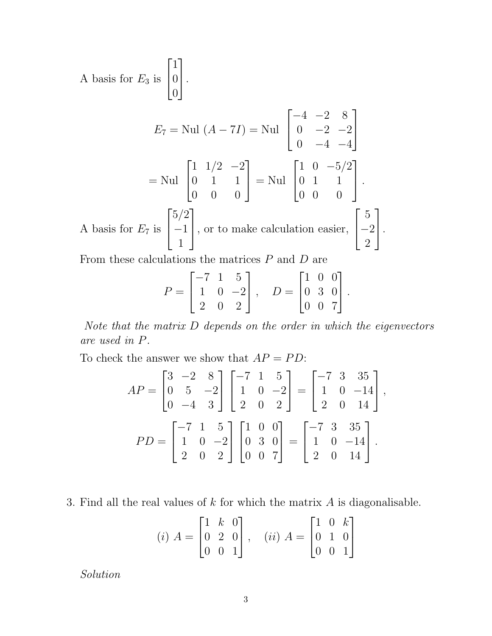A basis for 
$$
E_3
$$
 is  $\begin{bmatrix} 1 \\ 0 \\ 0 \end{bmatrix}$ .  
\n
$$
E_7 = \text{Nul } (A - 7I) = \text{Nul } \begin{bmatrix} -4 & -2 & 8 \\ 0 & -2 & -2 \\ 0 & -4 & -4 \end{bmatrix}
$$
\n
$$
= \text{Nul } \begin{bmatrix} 1 & 1/2 & -2 \\ 0 & 1 & 1 \\ 0 & 0 & 0 \end{bmatrix} = \text{Nul } \begin{bmatrix} 1 & 0 & -5/2 \\ 0 & 1 & 1 \\ 0 & 0 & 0 \end{bmatrix}.
$$
\nA basis for  $E_7$  is  $\begin{bmatrix} 5/2 \\ -1 \\ 1 \end{bmatrix}$ , or to make calculation easier,  $\begin{bmatrix} 5 \\ -2 \\ 2 \end{bmatrix}$ .

From these calculations the matrices  $P$  and  $D$  are

$$
P = \begin{bmatrix} -7 & 1 & 5 \\ 1 & 0 & -2 \\ 2 & 0 & 2 \end{bmatrix}, \quad D = \begin{bmatrix} 1 & 0 & 0 \\ 0 & 3 & 0 \\ 0 & 0 & 7 \end{bmatrix}.
$$

Note that the matrix D depends on the order in which the eigenvectors are used in P.

To check the answer we show that  $AP = PD$ :

$$
AP = \begin{bmatrix} 3 & -2 & 8 \\ 0 & 5 & -2 \\ 0 & -4 & 3 \end{bmatrix} \begin{bmatrix} -7 & 1 & 5 \\ 1 & 0 & -2 \\ 2 & 0 & 2 \end{bmatrix} = \begin{bmatrix} -7 & 3 & 35 \\ 1 & 0 & -14 \\ 2 & 0 & 14 \end{bmatrix},
$$
  
\n
$$
PD = \begin{bmatrix} -7 & 1 & 5 \\ 1 & 0 & -2 \\ 2 & 0 & 2 \end{bmatrix} \begin{bmatrix} 1 & 0 & 0 \\ 0 & 3 & 0 \\ 0 & 0 & 7 \end{bmatrix} = \begin{bmatrix} -7 & 3 & 35 \\ 1 & 0 & -14 \\ 2 & 0 & 14 \end{bmatrix}.
$$

3. Find all the real values of  $k$  for which the matrix  $A$  is diagonalisable.

$$
(i) A = \begin{bmatrix} 1 & k & 0 \\ 0 & 2 & 0 \\ 0 & 0 & 1 \end{bmatrix}, \quad (ii) A = \begin{bmatrix} 1 & 0 & k \\ 0 & 1 & 0 \\ 0 & 0 & 1 \end{bmatrix}
$$

Solution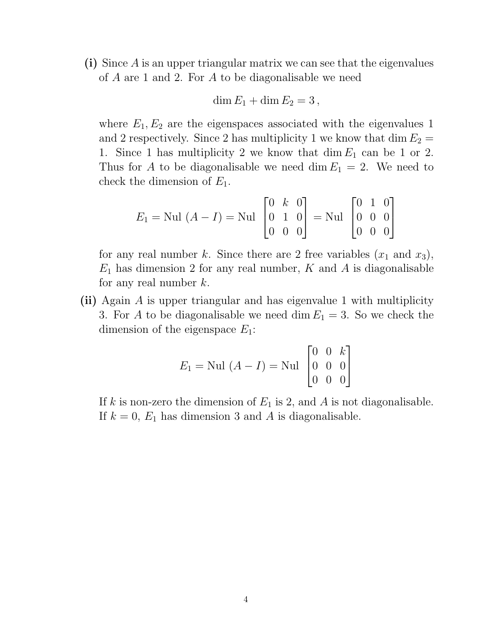(i) Since A is an upper triangular matrix we can see that the eigenvalues of A are 1 and 2. For A to be diagonalisable we need

$$
\dim E_1 + \dim E_2 = 3,
$$

where  $E_1, E_2$  are the eigenspaces associated with the eigenvalues 1 and 2 respectively. Since 2 has multiplicity 1 we know that  $\dim E_2 =$ 1. Since 1 has multiplicity 2 we know that  $\dim E_1$  can be 1 or 2. Thus for A to be diagonalisable we need dim  $E_1 = 2$ . We need to check the dimension of  $E_1$ .

$$
E_1 = \text{Nul } (A - I) = \text{Nul } \begin{bmatrix} 0 & k & 0 \\ 0 & 1 & 0 \\ 0 & 0 & 0 \end{bmatrix} = \text{Nul } \begin{bmatrix} 0 & 1 & 0 \\ 0 & 0 & 0 \\ 0 & 0 & 0 \end{bmatrix}
$$

for any real number k. Since there are 2 free variables  $(x_1 \text{ and } x_3)$ ,  $E_1$  has dimension 2 for any real number, K and A is diagonalisable for any real number  $k$ .

(ii) Again A is upper triangular and has eigenvalue 1 with multiplicity 3. For A to be diagonalisable we need dim  $E_1 = 3$ . So we check the dimension of the eigenspace  $E_1$ :

$$
E_1 = \text{Nul } (A - I) = \text{Nul } \begin{bmatrix} 0 & 0 & k \\ 0 & 0 & 0 \\ 0 & 0 & 0 \end{bmatrix}
$$

If k is non-zero the dimension of  $E_1$  is 2, and A is not diagonalisable. If  $k = 0$ ,  $E_1$  has dimension 3 and A is diagonalisable.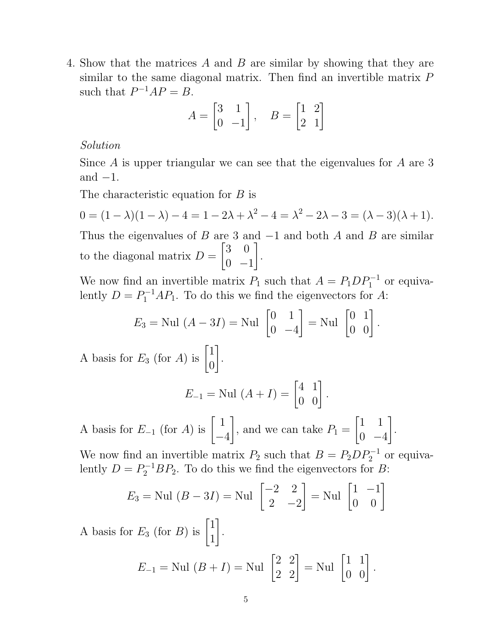4. Show that the matrices A and B are similar by showing that they are similar to the same diagonal matrix. Then find an invertible matrix P such that  $P^{-1}AP = B$ .

$$
A = \begin{bmatrix} 3 & 1 \\ 0 & -1 \end{bmatrix}, \quad B = \begin{bmatrix} 1 & 2 \\ 2 & 1 \end{bmatrix}
$$

Solution

Since A is upper triangular we can see that the eigenvalues for A are 3 and  $-1$ .

The characteristic equation for B is

$$
0 = (1 - \lambda)(1 - \lambda) - 4 = 1 - 2\lambda + \lambda^2 - 4 = \lambda^2 - 2\lambda - 3 = (\lambda - 3)(\lambda + 1).
$$

Thus the eigenvalues of B are 3 and  $-1$  and both A and B are similar to the diagonal matrix  $D =$  $\begin{bmatrix} 3 & 0 \end{bmatrix}$  $0 -1$ 1 .

We now find an invertible matrix  $P_1$  such that  $A = P_1 D P_1^{-1}$  or equivalently  $D = P_1^{-1} A P_1$ . To do this we find the eigenvectors for A:

$$
E_3 = \text{Nul } (A - 3I) = \text{Nul } \begin{bmatrix} 0 & 1 \\ 0 & -4 \end{bmatrix} = \text{Nul } \begin{bmatrix} 0 & 1 \\ 0 & 0 \end{bmatrix}.
$$

A basis for  $E_3$  (for A) is  $\begin{bmatrix} 1 \\ 0 \end{bmatrix}$ 0 1 .

$$
E_{-1} = \text{Nul } (A + I) = \begin{bmatrix} 4 & 1 \\ 0 & 0 \end{bmatrix}.
$$

A basis for  $E_{-1}$  (for A) is  $\begin{bmatrix} 1 \end{bmatrix}$ −4 1 , and we can take  $P_1 =$  $\begin{bmatrix} 1 & 1 \end{bmatrix}$  $0 -4$ 1 .

We now find an invertible matrix  $P_2$  such that  $B = P_2 D P_2^{-1}$  or equivalently  $D = P_2^{-1}BP_2$ . To do this we find the eigenvectors for B:

$$
E_3 = \text{Nul } (B - 3I) = \text{Nul } \begin{bmatrix} -2 & 2 \\ 2 & -2 \end{bmatrix} = \text{Nul } \begin{bmatrix} 1 & -1 \\ 0 & 0 \end{bmatrix}
$$

A basis for  $E_3$  (for B) is  $\begin{bmatrix} 1 \\ 1 \end{bmatrix}$ 1 1 .

$$
E_{-1} = \text{Nul } (B + I) = \text{Nul } \begin{bmatrix} 2 & 2 \\ 2 & 2 \end{bmatrix} = \text{Nul } \begin{bmatrix} 1 & 1 \\ 0 & 0 \end{bmatrix}.
$$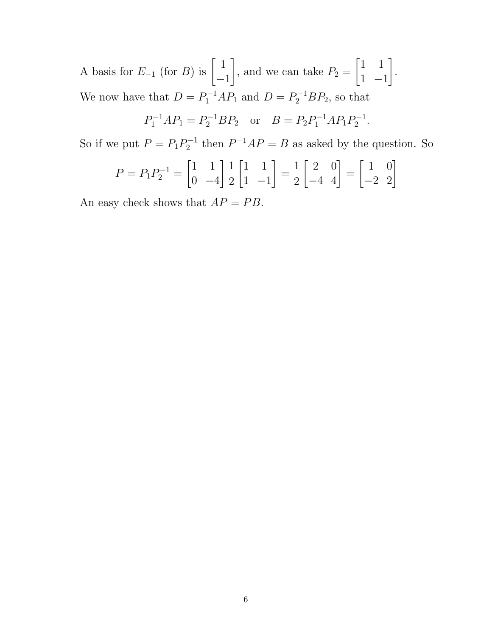A basis for  $E_{-1}$  (for B) is  $\begin{bmatrix} 1 \end{bmatrix}$ −1 1 , and we can take  $P_2 =$  $\begin{bmatrix} 1 & 1 \end{bmatrix}$ 1 −1 1 . We now have that  $D = P_1^{-1}AP_1$  and  $D = P_2^{-1}BP_2$ , so that

$$
P_1^{-1}AP_1 = P_2^{-1}BP_2
$$
 or  $B = P_2P_1^{-1}AP_1P_2^{-1}$ .

So if we put  $P = P_1 P_2^{-1}$  $P_2^{-1}$  then  $P^{-1}AP = B$  as asked by the question. So

$$
P = P_1 P_2^{-1} = \begin{bmatrix} 1 & 1 \\ 0 & -4 \end{bmatrix} \frac{1}{2} \begin{bmatrix} 1 & 1 \\ 1 & -1 \end{bmatrix} = \frac{1}{2} \begin{bmatrix} 2 & 0 \\ -4 & 4 \end{bmatrix} = \begin{bmatrix} 1 & 0 \\ -2 & 2 \end{bmatrix}
$$

An easy check shows that  $AP = PB$ .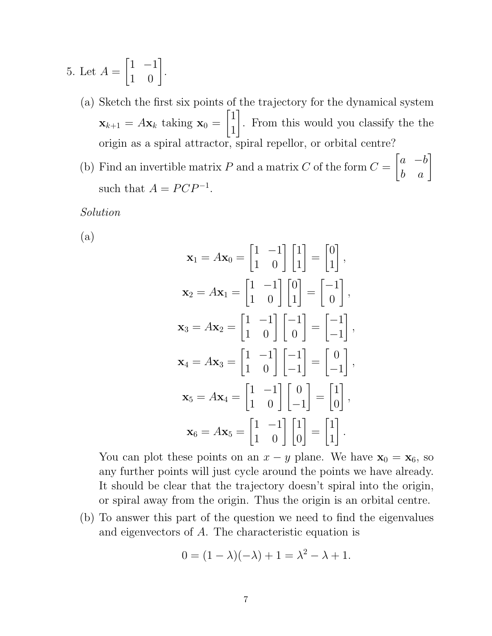- 5. Let  $A =$  $\begin{bmatrix} 1 & -1 \\ 1 & 0 \end{bmatrix}$ .
	- (a) Sketch the first six points of the trajectory for the dynamical system  $\mathbf{x}_{k+1} = A\mathbf{x}_k$  taking  $\mathbf{x}_0 =$  $\lceil 1 \rceil$ 1 1 . From this would you classify the the origin as a spiral attractor, spiral repellor, or orbital centre?
	- (b) Find an invertible matrix P and a matrix C of the form  $C =$  $\begin{bmatrix} a & -b \\ b & a \end{bmatrix}$ such that  $A = PCP^{-1}$ .

Solution

(a)

$$
\mathbf{x}_1 = A\mathbf{x}_0 = \begin{bmatrix} 1 & -1 \\ 1 & 0 \end{bmatrix} \begin{bmatrix} 1 \\ 1 \end{bmatrix} = \begin{bmatrix} 0 \\ 1 \end{bmatrix},
$$
  
\n
$$
\mathbf{x}_2 = A\mathbf{x}_1 = \begin{bmatrix} 1 & -1 \\ 1 & 0 \end{bmatrix} \begin{bmatrix} 0 \\ 1 \end{bmatrix} = \begin{bmatrix} -1 \\ 0 \end{bmatrix},
$$
  
\n
$$
\mathbf{x}_3 = A\mathbf{x}_2 = \begin{bmatrix} 1 & -1 \\ 1 & 0 \end{bmatrix} \begin{bmatrix} -1 \\ 0 \end{bmatrix} = \begin{bmatrix} -1 \\ -1 \end{bmatrix},
$$
  
\n
$$
\mathbf{x}_4 = A\mathbf{x}_3 = \begin{bmatrix} 1 & -1 \\ 1 & 0 \end{bmatrix} \begin{bmatrix} -1 \\ -1 \end{bmatrix} = \begin{bmatrix} 0 \\ -1 \end{bmatrix},
$$
  
\n
$$
\mathbf{x}_5 = A\mathbf{x}_4 = \begin{bmatrix} 1 & -1 \\ 1 & 0 \end{bmatrix} \begin{bmatrix} 0 \\ -1 \end{bmatrix} = \begin{bmatrix} 1 \\ 0 \end{bmatrix},
$$
  
\n
$$
\mathbf{x}_6 = A\mathbf{x}_5 = \begin{bmatrix} 1 & -1 \\ 1 & 0 \end{bmatrix} \begin{bmatrix} 1 \\ 0 \end{bmatrix} = \begin{bmatrix} 1 \\ 1 \end{bmatrix}.
$$

You can plot these points on an  $x - y$  plane. We have  $\mathbf{x}_0 = \mathbf{x}_6$ , so any further points will just cycle around the points we have already. It should be clear that the trajectory doesn't spiral into the origin, or spiral away from the origin. Thus the origin is an orbital centre.

(b) To answer this part of the question we need to find the eigenvalues and eigenvectors of A. The characteristic equation is

$$
0 = (1 - \lambda)(-\lambda) + 1 = \lambda^2 - \lambda + 1.
$$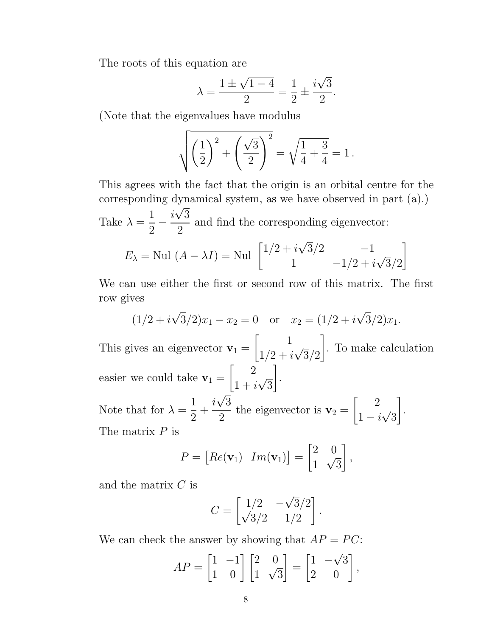The roots of this equation are

$$
\lambda = \frac{1 \pm \sqrt{1 - 4}}{2} = \frac{1}{2} \pm \frac{i\sqrt{3}}{2}.
$$

(Note that the eigenvalues have modulus

$$
\sqrt{\left(\frac{1}{2}\right)^2 + \left(\frac{\sqrt{3}}{2}\right)^2} = \sqrt{\frac{1}{4} + \frac{3}{4}} = 1.
$$

This agrees with the fact that the origin is an orbital centre for the corresponding dynamical system, as we have observed in part (a).) √

Take  $\lambda =$ 1 2 − i 3 2 and find the corresponding eigenvector: √

$$
E_{\lambda} = \text{Nul } (A - \lambda I) = \text{Nul } \begin{bmatrix} 1/2 + i\sqrt{3}/2 & -1 \\ 1 & -1/2 + i\sqrt{3}/2 \end{bmatrix}
$$

We can use either the first or second row of this matrix. The first row gives

$$
(1/2 + i\sqrt{3}/2)x_1 - x_2 = 0
$$
 or  $x_2 = (1/2 + i\sqrt{3}/2)x_1$ .

This gives an eigenvector  $\mathbf{v}_1 =$  $\begin{bmatrix} 1 \end{bmatrix}$  $1/2 + i$ √  $3/2$ 1 . To make calculation easier we could take  $v_1 =$  $\begin{bmatrix} 2 \end{bmatrix}$  $1+i$ √ 3 1 . Note that for  $\lambda =$ 1 2  $+$ i √ 3 2 the eigenvector is  $\mathbf{v}_2 =$  $\begin{bmatrix} 2 \end{bmatrix}$  $1-i$ √ 3 1 . The matrix  $P$  is

$$
P = [Re(\mathbf{v}_1) \quad Im(\mathbf{v}_1)] = \begin{bmatrix} 2 & 0 \\ 1 & \sqrt{3} \end{bmatrix},
$$

and the matrix C is

$$
C = \begin{bmatrix} 1/2 & -\sqrt{3}/2 \\ \sqrt{3}/2 & 1/2 \end{bmatrix}.
$$

We can check the answer by showing that  $AP = PC$ :

$$
AP = \begin{bmatrix} 1 & -1 \\ 1 & 0 \end{bmatrix} \begin{bmatrix} 2 & 0 \\ 1 & \sqrt{3} \end{bmatrix} = \begin{bmatrix} 1 & -\sqrt{3} \\ 2 & 0 \end{bmatrix},
$$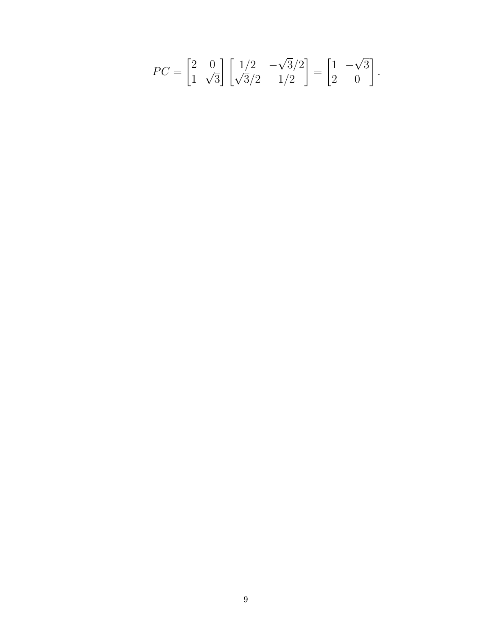$$
PC = \begin{bmatrix} 2 & 0 \\ 1 & \sqrt{3} \end{bmatrix} \begin{bmatrix} 1/2 & -\sqrt{3}/2 \\ \sqrt{3}/2 & 1/2 \end{bmatrix} = \begin{bmatrix} 1 & -\sqrt{3} \\ 2 & 0 \end{bmatrix}.
$$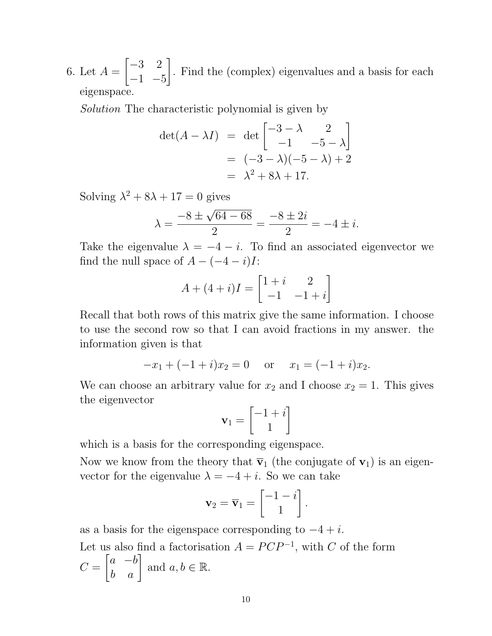6. Let  $A =$  $\begin{bmatrix} -3 & 2 \end{bmatrix}$  $-1$   $-5$ 1 . Find the (complex) eigenvalues and a basis for each eigenspace.

Solution The characteristic polynomial is given by

$$
\det(A - \lambda I) = \det \begin{bmatrix} -3 - \lambda & 2 \\ -1 & -5 - \lambda \end{bmatrix}
$$
  
=  $(-3 - \lambda)(-5 - \lambda) + 2$   
=  $\lambda^2 + 8\lambda + 17$ .

Solving  $\lambda^2 + 8\lambda + 17 = 0$  gives

$$
\lambda = \frac{-8 \pm \sqrt{64 - 68}}{2} = \frac{-8 \pm 2i}{2} = -4 \pm i.
$$

Take the eigenvalue  $\lambda = -4 - i$ . To find an associated eigenvector we find the null space of  $A - (-4 - i)I$ :

$$
A + (4+i)I = \begin{bmatrix} 1+i & 2 \\ -1 & -1+i \end{bmatrix}
$$

Recall that both rows of this matrix give the same information. I choose to use the second row so that I can avoid fractions in my answer. the information given is that

$$
-x_1 + (-1+i)x_2 = 0
$$
 or  $x_1 = (-1+i)x_2$ .

We can choose an arbitrary value for  $x_2$  and I choose  $x_2 = 1$ . This gives the eigenvector

$$
\mathbf{v}_1 = \begin{bmatrix} -1 + i \\ 1 \end{bmatrix}
$$

which is a basis for the corresponding eigenspace.

Now we know from the theory that  $\bar{v}_1$  (the conjugate of  $v_1$ ) is an eigenvector for the eigenvalue  $\lambda = -4 + i$ . So we can take

$$
\mathbf{v}_2 = \overline{\mathbf{v}}_1 = \begin{bmatrix} -1 - i \\ 1 \end{bmatrix}.
$$

as a basis for the eigenspace corresponding to  $-4 + i$ . Let us also find a factorisation  $A = PCP^{-1}$ , with C of the form  $C =$  $\begin{bmatrix} a & -b \\ b & a \end{bmatrix}$  and  $a, b \in \mathbb{R}$ .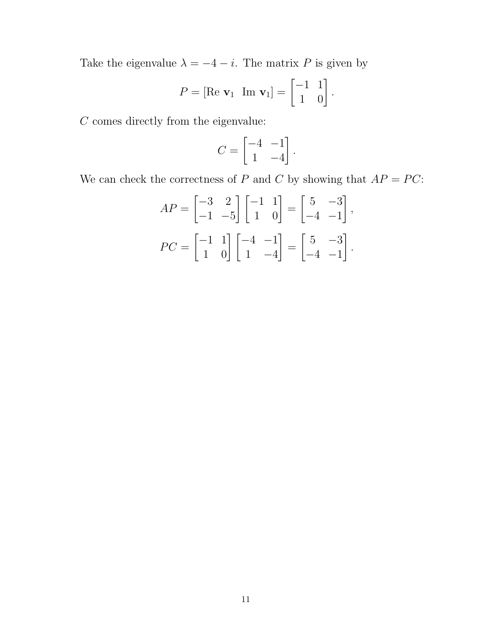Take the eigenvalue  $\lambda = -4 - i$ . The matrix P is given by

$$
P = [\text{Re } \mathbf{v}_1 \ \text{Im } \mathbf{v}_1] = \begin{bmatrix} -1 & 1 \\ 1 & 0 \end{bmatrix}.
$$

 $C$  comes directly from the eigenvalue:

$$
C = \begin{bmatrix} -4 & -1 \\ 1 & -4 \end{bmatrix}.
$$

We can check the correctness of P and C by showing that  $AP = PC$ :

$$
AP = \begin{bmatrix} -3 & 2 \\ -1 & -5 \end{bmatrix} \begin{bmatrix} -1 & 1 \\ 1 & 0 \end{bmatrix} = \begin{bmatrix} 5 & -3 \\ -4 & -1 \end{bmatrix},
$$
  

$$
PC = \begin{bmatrix} -1 & 1 \\ 1 & 0 \end{bmatrix} \begin{bmatrix} -4 & -1 \\ 1 & -4 \end{bmatrix} = \begin{bmatrix} 5 & -3 \\ -4 & -1 \end{bmatrix}.
$$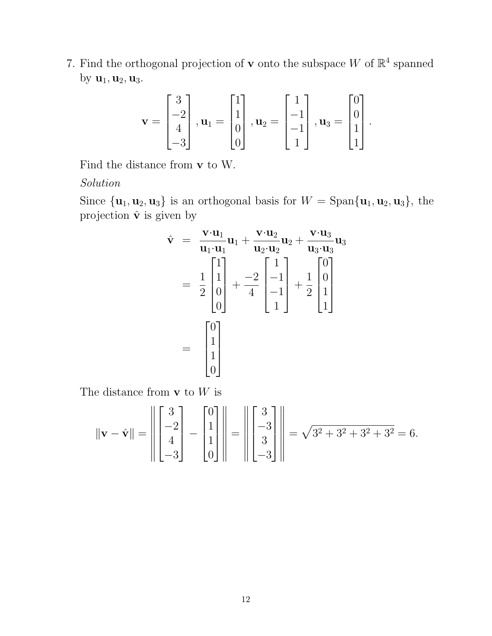7. Find the orthogonal projection of **v** onto the subspace W of  $\mathbb{R}^4$  spanned by  $\mathbf{u}_1, \mathbf{u}_2, \mathbf{u}_3$ .

$$
\mathbf{v} = \begin{bmatrix} 3 \\ -2 \\ 4 \\ -3 \end{bmatrix}, \mathbf{u}_1 = \begin{bmatrix} 1 \\ 1 \\ 0 \\ 0 \end{bmatrix}, \mathbf{u}_2 = \begin{bmatrix} 1 \\ -1 \\ -1 \\ 1 \end{bmatrix}, \mathbf{u}_3 = \begin{bmatrix} 0 \\ 0 \\ 1 \\ 1 \end{bmatrix}
$$

.

Find the distance from v to W.

Solution

Since  $\{u_1, u_2, u_3\}$  is an orthogonal basis for  $W = \text{Span}\{u_1, u_2, u_3\}$ , the projection  $\hat{\mathbf{v}}$  is given by

$$
\hat{\mathbf{v}} = \frac{\mathbf{v} \cdot \mathbf{u}_1}{\mathbf{u}_1 \cdot \mathbf{u}_1} \mathbf{u}_1 + \frac{\mathbf{v} \cdot \mathbf{u}_2}{\mathbf{u}_2 \cdot \mathbf{u}_2} \mathbf{u}_2 + \frac{\mathbf{v} \cdot \mathbf{u}_3}{\mathbf{u}_3 \cdot \mathbf{u}_3} \mathbf{u}_3
$$
\n
$$
= \frac{1}{2} \begin{bmatrix} 1 \\ 1 \\ 0 \\ 0 \end{bmatrix} + \frac{-2}{4} \begin{bmatrix} 1 \\ -1 \\ -1 \\ 1 \end{bmatrix} + \frac{1}{2} \begin{bmatrix} 0 \\ 0 \\ 1 \\ 1 \end{bmatrix}
$$
\n
$$
= \begin{bmatrix} 0 \\ 1 \\ 1 \\ 0 \end{bmatrix}
$$

The distance from  ${\bf v}$  to  $W$  is

$$
\|\mathbf{v} - \hat{\mathbf{v}}\| = \left\| \begin{bmatrix} 3 \\ -2 \\ 4 \\ -3 \end{bmatrix} - \begin{bmatrix} 0 \\ 1 \\ 1 \\ 0 \end{bmatrix} \right\| = \left\| \begin{bmatrix} 3 \\ -3 \\ 3 \\ -3 \end{bmatrix} \right\| = \sqrt{3^2 + 3^2 + 3^2 + 3^2} = 6.
$$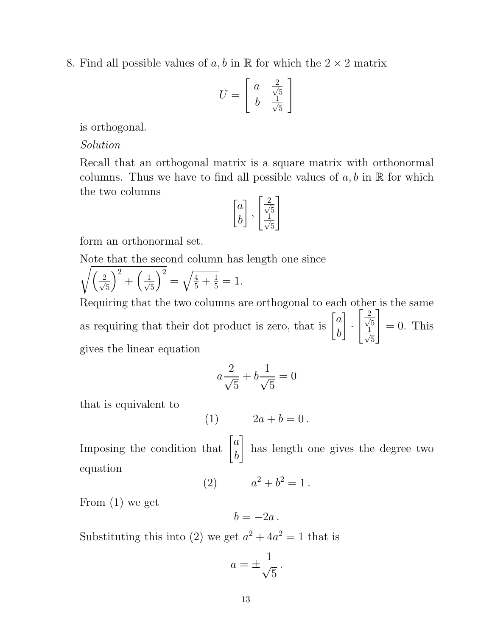8. Find all possible values of a, b in  $\mathbb R$  for which the  $2 \times 2$  matrix

$$
U = \left[ \begin{array}{cc} a & \frac{2}{\sqrt{5}} \\ b & \frac{1}{\sqrt{5}} \end{array} \right]
$$

is orthogonal.

Solution

Recall that an orthogonal matrix is a square matrix with orthonormal columns. Thus we have to find all possible values of  $a, b$  in  $\mathbb R$  for which the two columns

$$
\begin{bmatrix} a \\ b \end{bmatrix}, \begin{bmatrix} \frac{2}{\sqrt{5}} \\ \frac{1}{\sqrt{5}} \end{bmatrix}
$$

form an orthonormal set.

Note that the second column has length one since

$$
\sqrt{\left(\frac{2}{\sqrt{5}}\right)^2 + \left(\frac{1}{\sqrt{5}}\right)^2} = \sqrt{\frac{4}{5} + \frac{1}{5}} = 1.
$$

Requiring that the two columns are orthogonal to each other is the same as requiring that their dot product is zero, that is  $\begin{bmatrix} a \\ b \end{bmatrix}$ b 1 ·  $\lceil \frac{2}{2} \rceil$ 5  $\frac{1}{\sqrt{2}}$ 5 1  $= 0$ . This gives the linear equation

$$
a\frac{2}{\sqrt{5}} + b\frac{1}{\sqrt{5}} = 0
$$

that is equivalent to

(1)  $2a + b = 0$ .

Imposing the condition that  $\begin{bmatrix} a \\ b \end{bmatrix}$ b 1 has length one gives the degree two equation

(2) 
$$
a^2 + b^2 = 1.
$$

From (1) we get

$$
b=-2a.
$$

Substituting this into (2) we get  $a^2 + 4a^2 = 1$  that is

$$
a = \pm \frac{1}{\sqrt{5}} \, .
$$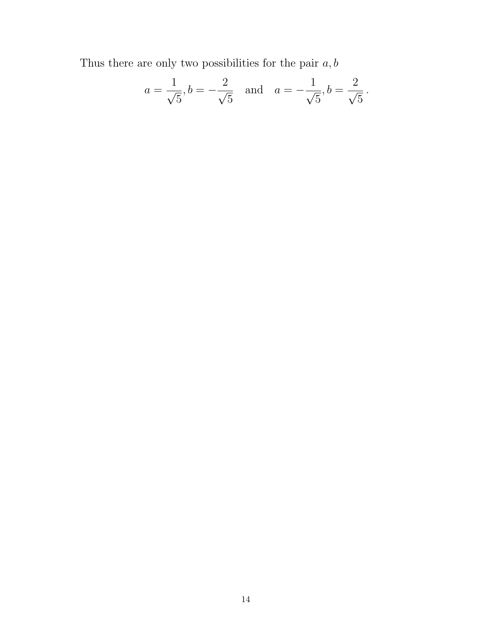Thus there are only two possibilities for the pair  $a,b$ 

$$
a = \frac{1}{\sqrt{5}}, b = -\frac{2}{\sqrt{5}}
$$
 and  $a = -\frac{1}{\sqrt{5}}, b = \frac{2}{\sqrt{5}}$ .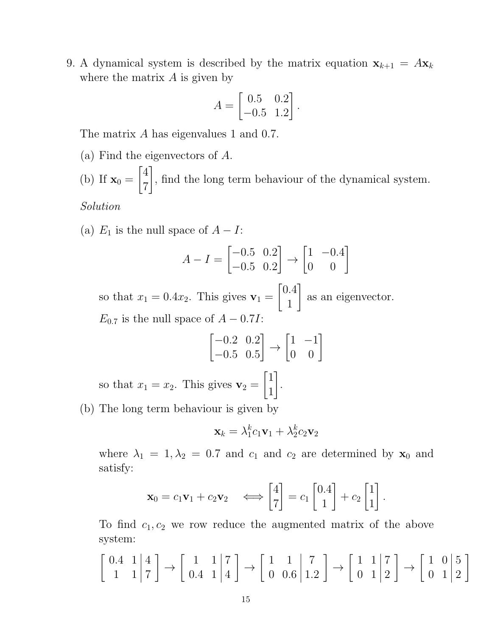9. A dynamical system is described by the matrix equation  $\mathbf{x}_{k+1} = A\mathbf{x}_k$ where the matrix  $A$  is given by

$$
A = \begin{bmatrix} 0.5 & 0.2 \\ -0.5 & 1.2 \end{bmatrix}.
$$

The matrix A has eigenvalues 1 and 0.7.

(a) Find the eigenvectors of A.

(b) If  $\mathbf{x}_0 =$  $\lceil 4 \rceil$ 7 1 , find the long term behaviour of the dynamical system.

Solution

(a)  $E_1$  is the null space of  $A - I$ :

$$
A - I = \begin{bmatrix} -0.5 & 0.2 \\ -0.5 & 0.2 \end{bmatrix} \rightarrow \begin{bmatrix} 1 & -0.4 \\ 0 & 0 \end{bmatrix}
$$

so that  $x_1 = 0.4x_2$ . This gives  $\mathbf{v}_1 =$  $\sqrt{0.4}$ 1 1 as an eigenvector.  $E_{0.7}$  is the null space of  $A - 0.7I$ :

$$
\begin{bmatrix} -0.2 & 0.2 \\ -0.5 & 0.5 \end{bmatrix} \rightarrow \begin{bmatrix} 1 & -1 \\ 0 & 0 \end{bmatrix}
$$

so that  $x_1 = x_2$ . This gives  $\mathbf{v}_2 =$  $\lceil 1 \rceil$ 1 1 .

(b) The long term behaviour is given by

$$
\mathbf{x}_k = \lambda_1^k c_1 \mathbf{v}_1 + \lambda_2^k c_2 \mathbf{v}_2
$$

where  $\lambda_1 = 1, \lambda_2 = 0.7$  and  $c_1$  and  $c_2$  are determined by  $\mathbf{x}_0$  and satisfy:

$$
\mathbf{x}_0 = c_1 \mathbf{v}_1 + c_2 \mathbf{v}_2 \quad \Longleftrightarrow \begin{bmatrix} 4 \\ 7 \end{bmatrix} = c_1 \begin{bmatrix} 0.4 \\ 1 \end{bmatrix} + c_2 \begin{bmatrix} 1 \\ 1 \end{bmatrix}.
$$

To find  $c_1, c_2$  we row reduce the augmented matrix of the above system:

$$
\left[\begin{array}{cc}0.4 & 1 & | & 4\\1 & 1 & | & 7\end{array}\right] \rightarrow \left[\begin{array}{cc}1 & 1 & | & 7\\0.4 & 1 & | & 4\end{array}\right] \rightarrow \left[\begin{array}{cc}1 & 1 & | & 7\\0 & 0.6 & | & 1.2\end{array}\right] \rightarrow \left[\begin{array}{cc}1 & 1 & | & 7\\0 & 1 & | & 2\end{array}\right] \rightarrow \left[\begin{array}{cc}1 & 0 & | & 5\\0 & 1 & | & 2\end{array}\right]
$$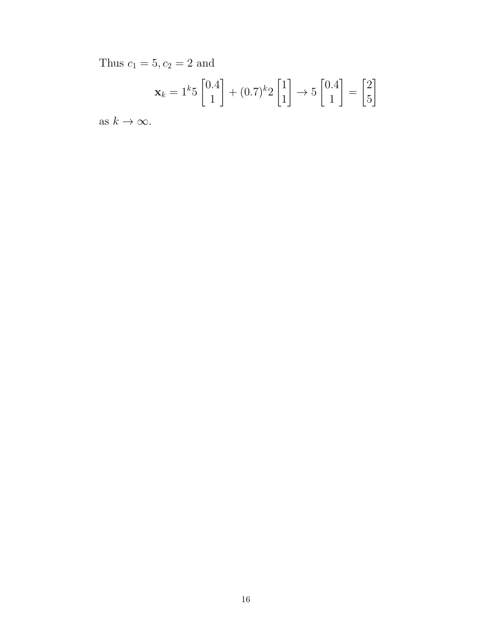Thus  $c_1 = 5, c_2 = 2$  and

$$
\mathbf{x}_k = 1^k 5 \begin{bmatrix} 0.4\\1 \end{bmatrix} + (0.7)^k 2 \begin{bmatrix} 1\\1 \end{bmatrix} \rightarrow 5 \begin{bmatrix} 0.4\\1 \end{bmatrix} = \begin{bmatrix} 2\\5 \end{bmatrix}
$$

as  $k \to \infty$ .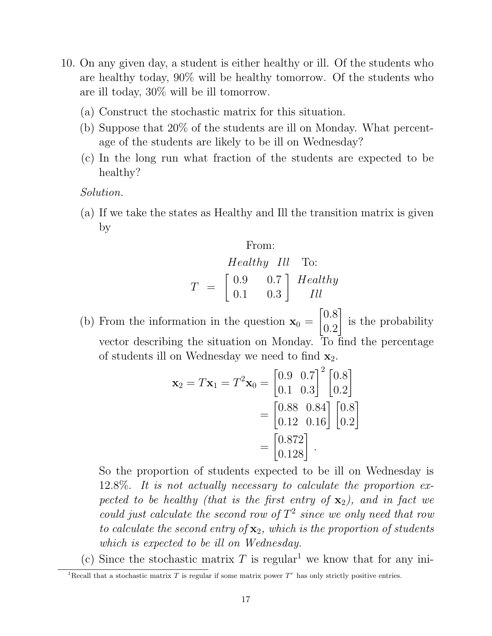- 10. On any given day, a student is either healthy or ill. Of the students who are healthy today, 90% will be healthy tomorrow. Of the students who are ill today, 30% will be ill tomorrow.
	- (a) Construct the stochastic matrix for this situation.
	- (b) Suppose that 20% of the students are ill on Monday. What percentage of the students are likely to be ill on Wednesday?
	- (c) In the long run what fraction of the students are expected to be healthy?

Solution.

(a) If we take the states as Healthy and Ill the transition matrix is given by

From:  
\n
$$
Healthy \quad Ill \quad \text{To:}
$$
\n
$$
T = \begin{bmatrix} 0.9 & 0.7 \\ 0.1 & 0.3 \end{bmatrix} \begin{array}{c} Healthy \\ Ill \end{array}
$$

(b) From the information in the question  $\mathbf{x}_0 =$  $\lceil 0.8 \rceil$ 0.2 1 is the probability vector describing the situation on Monday. To find the percentage of students ill on Wednesday we need to find  $\mathbf{x}_2$ .

$$
\mathbf{x}_2 = T\mathbf{x}_1 = T^2\mathbf{x}_0 = \begin{bmatrix} 0.9 & 0.7 \\ 0.1 & 0.3 \end{bmatrix}^2 \begin{bmatrix} 0.8 \\ 0.2 \end{bmatrix}
$$

$$
= \begin{bmatrix} 0.88 & 0.84 \\ 0.12 & 0.16 \end{bmatrix} \begin{bmatrix} 0.8 \\ 0.2 \end{bmatrix}
$$

$$
= \begin{bmatrix} 0.872 \\ 0.128 \end{bmatrix}.
$$

So the proportion of students expected to be ill on Wednesday is 12.8%. It is not actually necessary to calculate the proportion expected to be healthy (that is the first entry of  $\mathbf{x}_2$ ), and in fact we could just calculate the second row of  $T^2$  since we only need that row to calculate the second entry of  $\mathbf{x}_2$ , which is the proportion of students which is expected to be ill on Wednesday.

(c) Since the stochastic matrix T is regular<sup>1</sup> we know that for any ini-

<sup>&</sup>lt;sup>1</sup>Recall that a stochastic matrix  $T$  is regular if some matrix power  $T<sup>r</sup>$  has only strictly positive entries.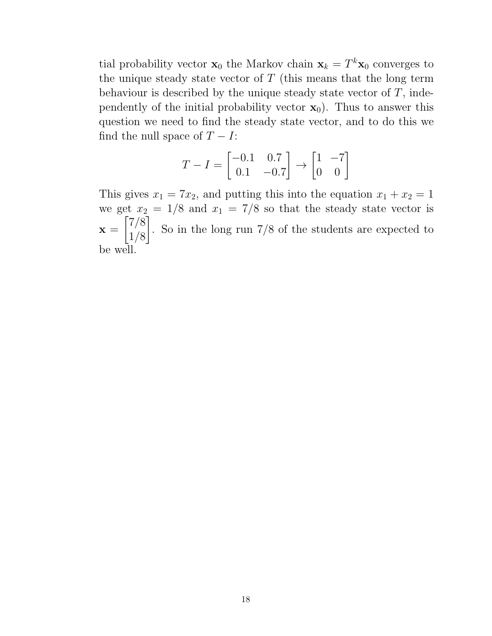tial probability vector  $\mathbf{x}_0$  the Markov chain  $\mathbf{x}_k = T^k \mathbf{x}_0$  converges to the unique steady state vector of  $T$  (this means that the long term behaviour is described by the unique steady state vector of  $T$ , independently of the initial probability vector  $\mathbf{x}_0$ ). Thus to answer this question we need to find the steady state vector, and to do this we find the null space of  $T - I$ :

$$
T-I = \begin{bmatrix} -0.1 & 0.7 \\ 0.1 & -0.7 \end{bmatrix} \rightarrow \begin{bmatrix} 1 & -7 \\ 0 & 0 \end{bmatrix}
$$

This gives  $x_1 = 7x_2$ , and putting this into the equation  $x_1 + x_2 = 1$ we get  $x_2 = 1/8$  and  $x_1 = 7/8$  so that the steady state vector is  $\mathbf{x} =$  $\lceil 7/8 \rceil$ 1/8 1 . So in the long run 7/8 of the students are expected to be well.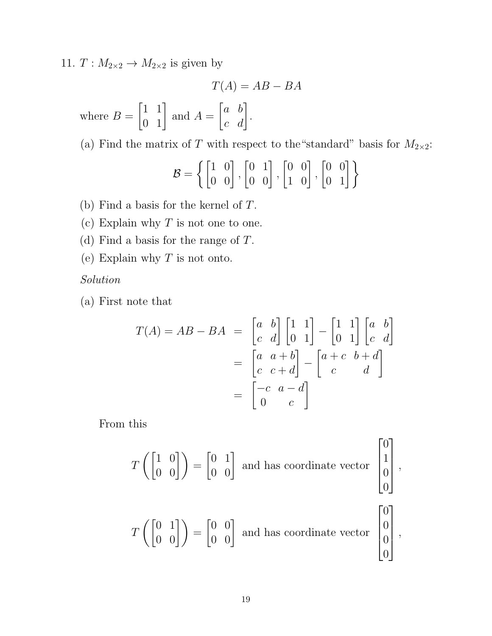11.  $T: M_{2\times 2} \to M_{2\times 2}$  is given by

$$
T(A) = AB - BA
$$

where  $B =$  $\begin{bmatrix} 1 & 1 \\ 0 & 1 \end{bmatrix}$ and  $A =$  $\begin{bmatrix} a & b \\ c & d \end{bmatrix}$ .

(a) Find the matrix of T with respect to the "standard" basis for  $M_{2\times2}$ :

$$
\mathcal{B} = \left\{ \begin{bmatrix} 1 & 0 \\ 0 & 0 \end{bmatrix}, \begin{bmatrix} 0 & 1 \\ 0 & 0 \end{bmatrix}, \begin{bmatrix} 0 & 0 \\ 1 & 0 \end{bmatrix}, \begin{bmatrix} 0 & 0 \\ 0 & 1 \end{bmatrix} \right\}
$$

- (b) Find a basis for the kernel of T.
- (c) Explain why  $T$  is not one to one.
- (d) Find a basis for the range of T.
- (e) Explain why  $T$  is not onto.

Solution

(a) First note that

$$
T(A) = AB - BA = \begin{bmatrix} a & b \\ c & d \end{bmatrix} \begin{bmatrix} 1 & 1 \\ 0 & 1 \end{bmatrix} - \begin{bmatrix} 1 & 1 \\ 0 & 1 \end{bmatrix} \begin{bmatrix} a & b \\ c & d \end{bmatrix}
$$

$$
= \begin{bmatrix} a & a+b \\ c & c+d \end{bmatrix} - \begin{bmatrix} a+c & b+d \\ c & d \end{bmatrix}
$$

$$
= \begin{bmatrix} -c & a-d \\ 0 & c \end{bmatrix}
$$

From this

$$
T\left(\begin{bmatrix} 1 & 0 \\ 0 & 0 \end{bmatrix}\right) = \begin{bmatrix} 0 & 1 \\ 0 & 0 \end{bmatrix}
$$
 and has coordinate vector 
$$
\begin{bmatrix} 0 \\ 1 \\ 0 \\ 0 \end{bmatrix}
$$

1

 $\vert$  $\overline{a}$  $\vert$ ,

 $\overline{0}$ 

1

 $\vert$ ,

 $\Omega$ 

$$
T\left(\begin{bmatrix} 0 & 1 \\ 0 & 0 \end{bmatrix}\right) = \begin{bmatrix} 0 & 0 \\ 0 & 0 \end{bmatrix}
$$
 and has coordinate vector  $\begin{bmatrix} 0 \\ 0 \\ 0 \\ 0 \end{bmatrix}$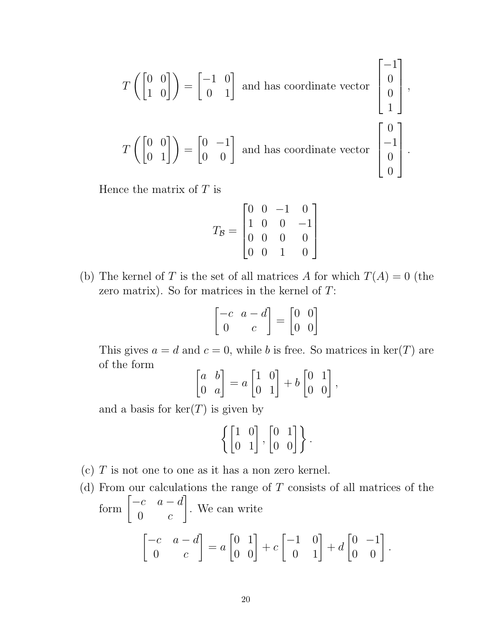$$
T\left(\begin{bmatrix} 0 & 0 \\ 1 & 0 \end{bmatrix}\right) = \begin{bmatrix} -1 & 0 \\ 0 & 1 \end{bmatrix}
$$
 and has coordinate vector  $\begin{bmatrix} -1 \\ 0 \\ 0 \\ 1 \end{bmatrix}$ ,  

$$
T\left(\begin{bmatrix} 0 & 0 \\ 0 & 1 \end{bmatrix}\right) = \begin{bmatrix} 0 & -1 \\ 0 & 0 \end{bmatrix}
$$
 and has coordinate vector  $\begin{bmatrix} 0 \\ -1 \\ 0 \\ 0 \end{bmatrix}$ .

Hence the matrix of  $T$  is

$$
T_{\mathcal{B}} = \begin{bmatrix} 0 & 0 & -1 & 0 \\ 1 & 0 & 0 & -1 \\ 0 & 0 & 0 & 0 \\ 0 & 0 & 1 & 0 \end{bmatrix}
$$

(b) The kernel of T is the set of all matrices A for which  $T(A) = 0$  (the zero matrix). So for matrices in the kernel of  $T$ :

$$
\begin{bmatrix} -c & a - d \\ 0 & c \end{bmatrix} = \begin{bmatrix} 0 & 0 \\ 0 & 0 \end{bmatrix}
$$

This gives  $a = d$  and  $c = 0$ , while b is free. So matrices in ker(T) are of the form

$$
\begin{bmatrix} a & b \\ 0 & a \end{bmatrix} = a \begin{bmatrix} 1 & 0 \\ 0 & 1 \end{bmatrix} + b \begin{bmatrix} 0 & 1 \\ 0 & 0 \end{bmatrix},
$$

and a basis for  $\ker(T)$  is given by

$$
\left\{ \begin{bmatrix} 1 & 0 \\ 0 & 1 \end{bmatrix}, \begin{bmatrix} 0 & 1 \\ 0 & 0 \end{bmatrix} \right\}.
$$

- (c)  $T$  is not one to one as it has a non zero kernel.
- (d) From our calculations the range of  $T$  consists of all matrices of the form  $\begin{bmatrix} -c & a-d \\ 0 & 0 \end{bmatrix}$  $0 \qquad c$ 1 . We can write  $\begin{bmatrix} -c & a - d \end{bmatrix}$  $0 \qquad c$ 1  $= a$  $\begin{bmatrix} 0 & 1 \\ 0 & 0 \end{bmatrix}$  $+ c$  $\begin{bmatrix} -1 & 0 \\ 0 & 1 \end{bmatrix}$  $+ d$  $\begin{bmatrix} 0 & -1 \\ 0 & 0 \end{bmatrix}$ .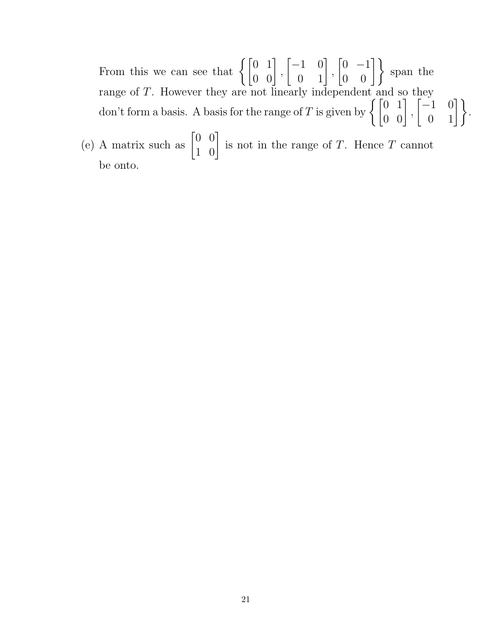From this we can see that  $\left\{ \begin{bmatrix} 0 & 1 \\ 0 & 0 \end{bmatrix} \right\}$ ,  $\begin{bmatrix} -1 & 0 \\ 0 & 1 \end{bmatrix}$ ,  $\begin{bmatrix} 0 & -1 \\ 0 & 0 \end{bmatrix}$  span the range of T. However they are not linearly independent and so they don't form a basis. A basis for the range of T is given by  $\left\{ \begin{bmatrix} 0 & 1 \\ 0 & 0 \end{bmatrix} \right\}$ ,  $\begin{bmatrix} -1 & 0 \\ 0 & 1 \end{bmatrix}$ .

(e) A matrix such as  $\begin{bmatrix} 0 & 0 \\ 1 & 0 \end{bmatrix}$ is not in the range of T. Hence T cannot be onto.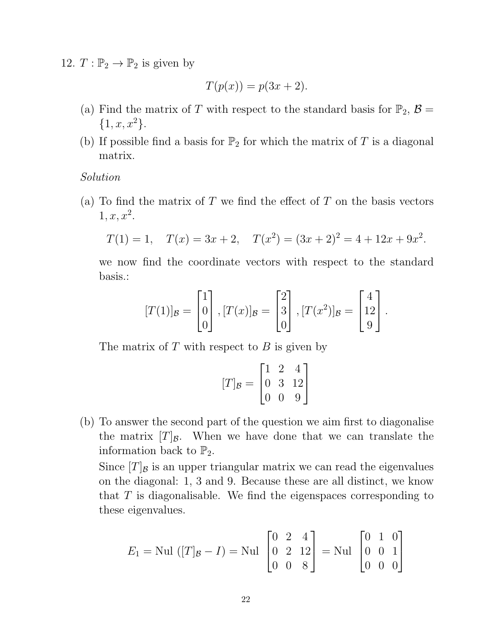12.  $T: \mathbb{P}_2 \to \mathbb{P}_2$  is given by

$$
T(p(x)) = p(3x + 2).
$$

- (a) Find the matrix of T with respect to the standard basis for  $\mathbb{P}_2$ ,  $\mathcal{B} =$  $\{1, x, x^2\}.$
- (b) If possible find a basis for  $\mathbb{P}_2$  for which the matrix of T is a diagonal matrix.

Solution

(a) To find the matrix of  $T$  we find the effect of  $T$  on the basis vectors  $1, x, x^2.$ 

$$
T(1) = 1
$$
,  $T(x) = 3x + 2$ ,  $T(x^2) = (3x + 2)^2 = 4 + 12x + 9x^2$ .

we now find the coordinate vectors with respect to the standard basis.:

$$
[T(1)]_{\mathcal{B}} = \begin{bmatrix} 1 \\ 0 \\ 0 \end{bmatrix}, [T(x)]_{\mathcal{B}} = \begin{bmatrix} 2 \\ 3 \\ 0 \end{bmatrix}, [T(x^2)]_{\mathcal{B}} = \begin{bmatrix} 4 \\ 12 \\ 9 \end{bmatrix}.
$$

The matrix of  $T$  with respect to  $B$  is given by

$$
[T]_{\mathcal{B}} = \begin{bmatrix} 1 & 2 & 4 \\ 0 & 3 & 12 \\ 0 & 0 & 9 \end{bmatrix}
$$

(b) To answer the second part of the question we aim first to diagonalise the matrix  $[T]_B$ . When we have done that we can translate the information back to  $\mathbb{P}_2$ .

Since  $[T]$ <sub>B</sub> is an upper triangular matrix we can read the eigenvalues on the diagonal: 1, 3 and 9. Because these are all distinct, we know that  $T$  is diagonalisable. We find the eigenspaces corresponding to these eigenvalues.

$$
E_1 = \text{Nul } ([T]_B - I) = \text{Nul } \begin{bmatrix} 0 & 2 & 4 \\ 0 & 2 & 12 \\ 0 & 0 & 8 \end{bmatrix} = \text{Nul } \begin{bmatrix} 0 & 1 & 0 \\ 0 & 0 & 1 \\ 0 & 0 & 0 \end{bmatrix}
$$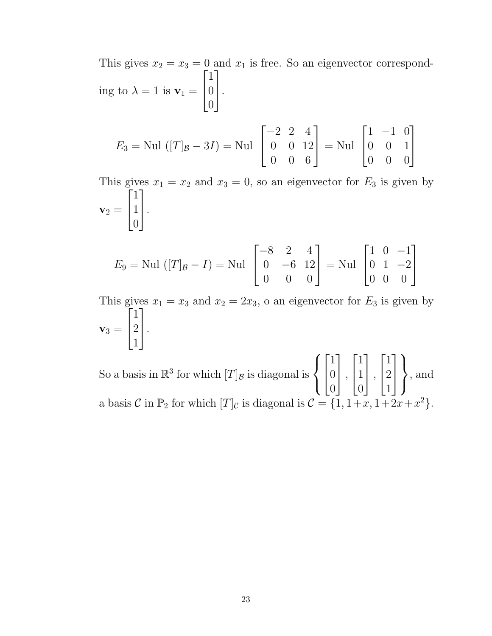This gives  $x_2 = x_3 = 0$  and  $x_1$  is free. So an eigenvector corresponding to  $\lambda = 1$  is  $\mathbf{v}_1 =$  $\sqrt{ }$  $\perp$ 1 0  $\overline{0}$ 1  $\vert \cdot$ 

$$
E_3 = \text{Nul } ([T]_B - 3I) = \text{Nul } \begin{bmatrix} -2 & 2 & 4 \\ 0 & 0 & 12 \\ 0 & 0 & 6 \end{bmatrix} = \text{Nul } \begin{bmatrix} 1 & -1 & 0 \\ 0 & 0 & 1 \\ 0 & 0 & 0 \end{bmatrix}
$$

This gives  $x_1 = x_2$  and  $x_3 = 0$ , so an eigenvector for  $E_3$  is given by  $\mathbf{v}_2 =$  $\sqrt{ }$  $\vert$ 1 1 0 1  $\vert \cdot$ 

$$
E_9 = \text{Nul } ([T]_B - I) = \text{Nul } \begin{bmatrix} -8 & 2 & 4 \\ 0 & -6 & 12 \\ 0 & 0 & 0 \end{bmatrix} = \text{Nul } \begin{bmatrix} 1 & 0 & -1 \\ 0 & 1 & -2 \\ 0 & 0 & 0 \end{bmatrix}
$$

This gives  $x_1 = x_3$  and  $x_2 = 2x_3$ , o an eigenvector for  $E_3$  is given by  $\mathbf{v}_3 =$  $\sqrt{ }$  $\vert$ 1 2 1 1  $\vert \cdot$ 

So a basis in  $\mathbb{R}^3$  for which  $[T]$ <sub>B</sub> is diagonal is  $\sqrt{ }$  $\int$  $\mathcal{L}$  $\sqrt{ }$  $\perp$ 1 0 0 1  $\vert$ ,  $\sqrt{ }$  $\perp$ 1 1 0 1  $\vert$ ,  $\lceil$  $\overline{1}$ 1 2 1 1  $\vert$  $\mathcal{L}$  $\mathcal{L}$  $\int$ , and a basis C in  $\mathbb{P}_2$  for which  $[T]_C$  is diagonal is  $C = \{1, 1+x, 1+2x+x^2\}.$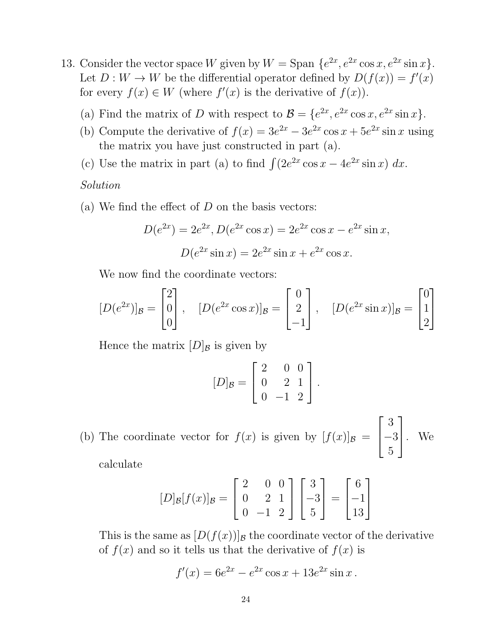- 13. Consider the vector space W given by  $W = \text{Span }\{e^{2x}, e^{2x} \cos x, e^{2x} \sin x\}.$ Let  $D: W \to W$  be the differential operator defined by  $D(f(x)) = f'(x)$ for every  $f(x) \in W$  (where  $f'(x)$  is the derivative of  $f(x)$ ).
	- (a) Find the matrix of D with respect to  $\mathcal{B} = \{e^{2x}, e^{2x} \cos x, e^{2x} \sin x\}.$
	- (b) Compute the derivative of  $f(x) = 3e^{2x} 3e^{2x} \cos x + 5e^{2x} \sin x$  using the matrix you have just constructed in part (a).
	- (c) Use the matrix in part (a) to find  $\int (2e^{2x} \cos x 4e^{2x} \sin x) dx$ .

## Solution

(a) We find the effect of  $D$  on the basis vectors:

$$
D(e^{2x}) = 2e^{2x}, D(e^{2x}\cos x) = 2e^{2x}\cos x - e^{2x}\sin x,
$$

$$
D(e^{2x}\sin x) = 2e^{2x}\sin x + e^{2x}\cos x.
$$

We now find the coordinate vectors:

$$
[D(e^{2x})]_{\mathcal{B}} = \begin{bmatrix} 2 \\ 0 \\ 0 \end{bmatrix}, \quad [D(e^{2x}\cos x)]_{\mathcal{B}} = \begin{bmatrix} 0 \\ 2 \\ -1 \end{bmatrix}, \quad [D(e^{2x}\sin x)]_{\mathcal{B}} = \begin{bmatrix} 0 \\ 1 \\ 2 \end{bmatrix}
$$

Hence the matrix  $[D]_B$  is given by

$$
[D]_B = \begin{bmatrix} 2 & 0 & 0 \\ 0 & 2 & 1 \\ 0 & -1 & 2 \end{bmatrix}.
$$

(b) The coordinate vector for  $f(x)$  is given by  $[f(x)]_{\mathcal{B}} =$  $\sqrt{ }$  $\perp$ 3 −3 5 1  $\vert \cdot \vert$  We

calculate

$$
[D]_{\mathcal{B}}[f(x)]_{\mathcal{B}} = \begin{bmatrix} 2 & 0 & 0 \\ 0 & 2 & 1 \\ 0 & -1 & 2 \end{bmatrix} \begin{bmatrix} 3 \\ -3 \\ 5 \end{bmatrix} = \begin{bmatrix} 6 \\ -1 \\ 13 \end{bmatrix}
$$

This is the same as  $[D(f(x))]$ <sub>B</sub> the coordinate vector of the derivative of  $f(x)$  and so it tells us that the derivative of  $f(x)$  is

$$
f'(x) = 6e^{2x} - e^{2x}\cos x + 13e^{2x}\sin x.
$$